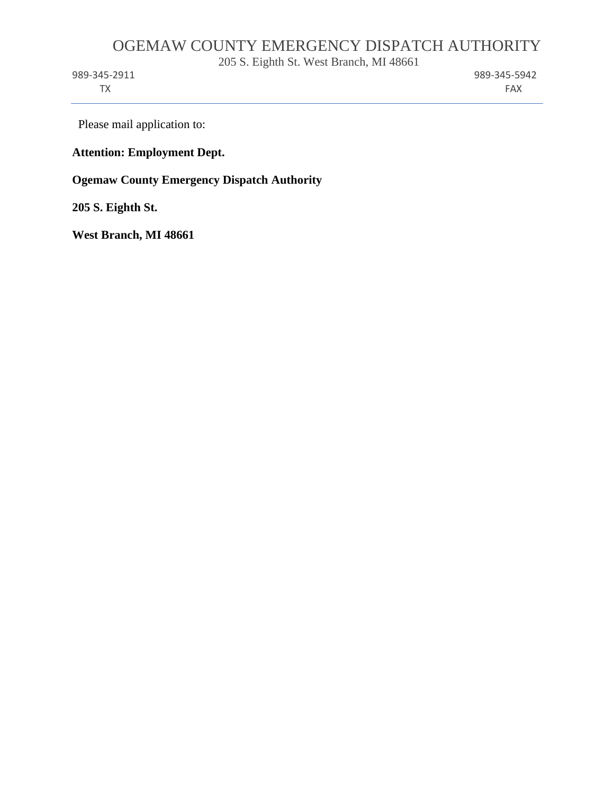# OGEMAW COUNTY EMERGENCY DISPATCH AUTHORITY

205 S. Eighth St. West Branch, MI 48661

TX FAX

989-345-2911 989-345-5942

Please mail application to:

### **Attention: Employment Dept.**

**Ogemaw County Emergency Dispatch Authority** 

**205 S. Eighth St.** 

**West Branch, MI 48661**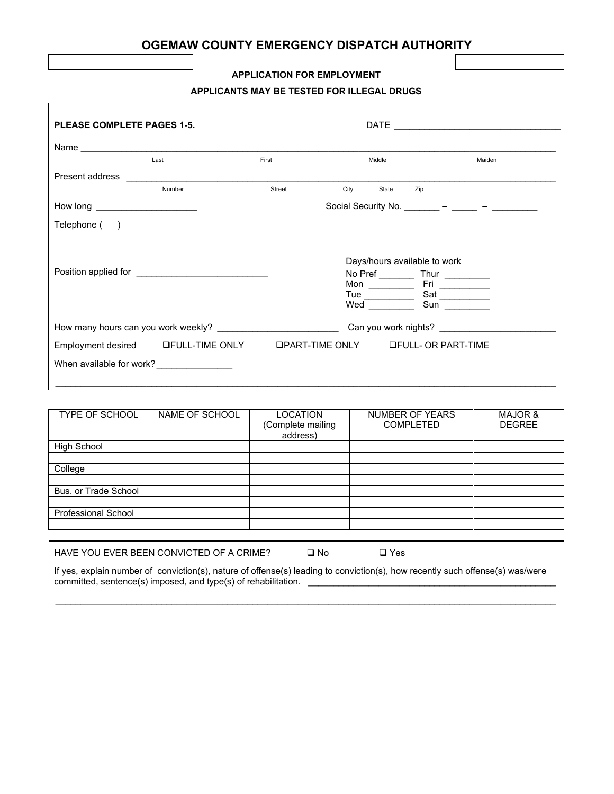## **OGEMAW COUNTY EMERGENCY DISPATCH AUTHORITY**

#### **APPLICATION FOR EMPLOYMENT**

#### **APPLICANTS MAY BE TESTED FOR ILLEGAL DRUGS**

| <b>PLEASE COMPLETE PAGES 1-5.</b> |        |        |                                                                                        |        |
|-----------------------------------|--------|--------|----------------------------------------------------------------------------------------|--------|
|                                   |        |        |                                                                                        |        |
|                                   | Last   | First  | Middle                                                                                 | Maiden |
| Present address                   |        |        |                                                                                        |        |
|                                   | Number | Street | City<br>State<br>Zip                                                                   |        |
| How long _______________________  |        |        | Social Security No. _________ - ______ - ________                                      |        |
| Telephone ()                      |        |        |                                                                                        |        |
|                                   |        |        | Days/hours available to work<br>No Pref _____________ Thur ____________<br>Wed Sun Sun |        |
|                                   |        |        | Can you work nights?                                                                   |        |
|                                   |        |        | Employment desired GFULL-TIME ONLY GPART-TIME ONLY GFULL- OR PART-TIME                 |        |
| When available for work?          |        |        |                                                                                        |        |

| TYPE OF SCHOOL       | NAME OF SCHOOL | <b>LOCATION</b><br>(Complete mailing<br>address) | NUMBER OF YEARS<br><b>COMPLETED</b> | <b>MAJOR &amp;</b><br><b>DEGREE</b> |
|----------------------|----------------|--------------------------------------------------|-------------------------------------|-------------------------------------|
| High School          |                |                                                  |                                     |                                     |
|                      |                |                                                  |                                     |                                     |
| College              |                |                                                  |                                     |                                     |
|                      |                |                                                  |                                     |                                     |
| Bus, or Trade School |                |                                                  |                                     |                                     |
|                      |                |                                                  |                                     |                                     |
| Professional School  |                |                                                  |                                     |                                     |
|                      |                |                                                  |                                     |                                     |
|                      |                |                                                  |                                     |                                     |

HAVE YOU EVER BEEN CONVICTED OF A CRIME?  $\Box$  No  $\Box$  Yes

If yes, explain number of conviction(s), nature of offense(s) leading to conviction(s), how recently such offense(s) was/were committed, sentence(s) imposed, and type(s) of rehabilitation. \_\_\_\_\_\_\_\_\_\_\_\_\_\_\_\_\_\_\_\_\_\_\_\_\_\_\_\_\_\_\_\_\_\_\_\_\_\_\_\_\_\_\_\_\_\_\_\_\_

 $\_$  ,  $\_$  ,  $\_$  ,  $\_$  ,  $\_$  ,  $\_$  ,  $\_$  ,  $\_$  ,  $\_$  ,  $\_$  ,  $\_$  ,  $\_$  ,  $\_$  ,  $\_$  ,  $\_$  ,  $\_$  ,  $\_$  ,  $\_$  ,  $\_$  ,  $\_$  ,  $\_$  ,  $\_$  ,  $\_$  ,  $\_$  ,  $\_$  ,  $\_$  ,  $\_$  ,  $\_$  ,  $\_$  ,  $\_$  ,  $\_$  ,  $\_$  ,  $\_$  ,  $\_$  ,  $\_$  ,  $\_$  ,  $\_$  ,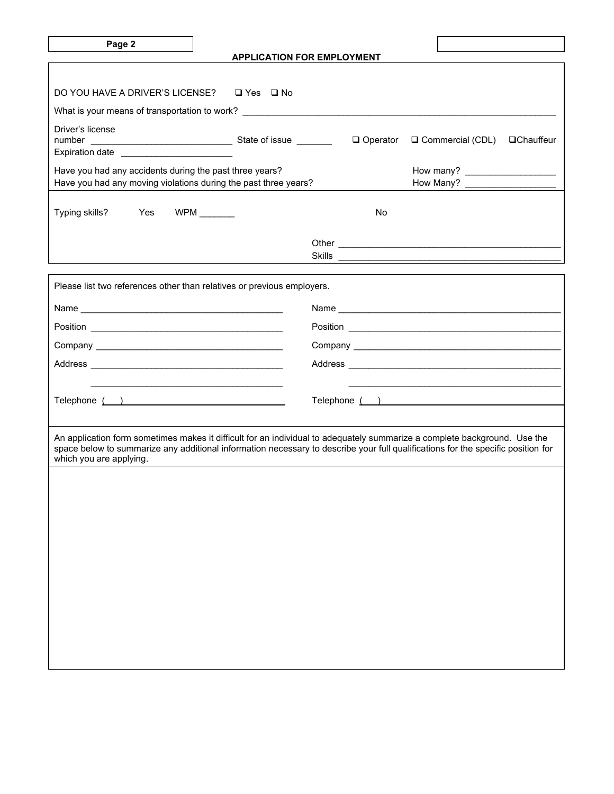|--|

 $\mathbf{I}$ 

ן

|                                                                                                                                                                                                                                                                                          |                      | <b>APPLICATION FOR EMPLOYMENT</b> |                                 |  |
|------------------------------------------------------------------------------------------------------------------------------------------------------------------------------------------------------------------------------------------------------------------------------------------|----------------------|-----------------------------------|---------------------------------|--|
|                                                                                                                                                                                                                                                                                          |                      |                                   |                                 |  |
| DO YOU HAVE A DRIVER'S LICENSE?                                                                                                                                                                                                                                                          | $\Box$ Yes $\Box$ No |                                   |                                 |  |
| What is your means of transportation to work? __________________________________                                                                                                                                                                                                         |                      |                                   |                                 |  |
| Driver's license<br>Expiration date _________________________                                                                                                                                                                                                                            |                      | □ Operator                        | □ Commercial (CDL) □ Chauffeur  |  |
| Have you had any accidents during the past three years?<br>Have you had any moving violations during the past three years?                                                                                                                                                               |                      |                                   | How Many? _____________________ |  |
| Typing skills? Yes WPM _______                                                                                                                                                                                                                                                           |                      | No.                               |                                 |  |
|                                                                                                                                                                                                                                                                                          |                      |                                   |                                 |  |
| Please list two references other than relatives or previous employers.                                                                                                                                                                                                                   |                      |                                   |                                 |  |
|                                                                                                                                                                                                                                                                                          |                      |                                   |                                 |  |
|                                                                                                                                                                                                                                                                                          |                      |                                   |                                 |  |
|                                                                                                                                                                                                                                                                                          |                      |                                   |                                 |  |
|                                                                                                                                                                                                                                                                                          |                      |                                   |                                 |  |
|                                                                                                                                                                                                                                                                                          |                      |                                   |                                 |  |
| Telephone ( )                                                                                                                                                                                                                                                                            |                      |                                   |                                 |  |
|                                                                                                                                                                                                                                                                                          |                      |                                   |                                 |  |
| An application form sometimes makes it difficult for an individual to adequately summarize a complete background. Use the<br>space below to summarize any additional information necessary to describe your full qualifications for the specific position for<br>which you are applying. |                      |                                   |                                 |  |
|                                                                                                                                                                                                                                                                                          |                      |                                   |                                 |  |
|                                                                                                                                                                                                                                                                                          |                      |                                   |                                 |  |
|                                                                                                                                                                                                                                                                                          |                      |                                   |                                 |  |
|                                                                                                                                                                                                                                                                                          |                      |                                   |                                 |  |
|                                                                                                                                                                                                                                                                                          |                      |                                   |                                 |  |
|                                                                                                                                                                                                                                                                                          |                      |                                   |                                 |  |
|                                                                                                                                                                                                                                                                                          |                      |                                   |                                 |  |
|                                                                                                                                                                                                                                                                                          |                      |                                   |                                 |  |
|                                                                                                                                                                                                                                                                                          |                      |                                   |                                 |  |

Г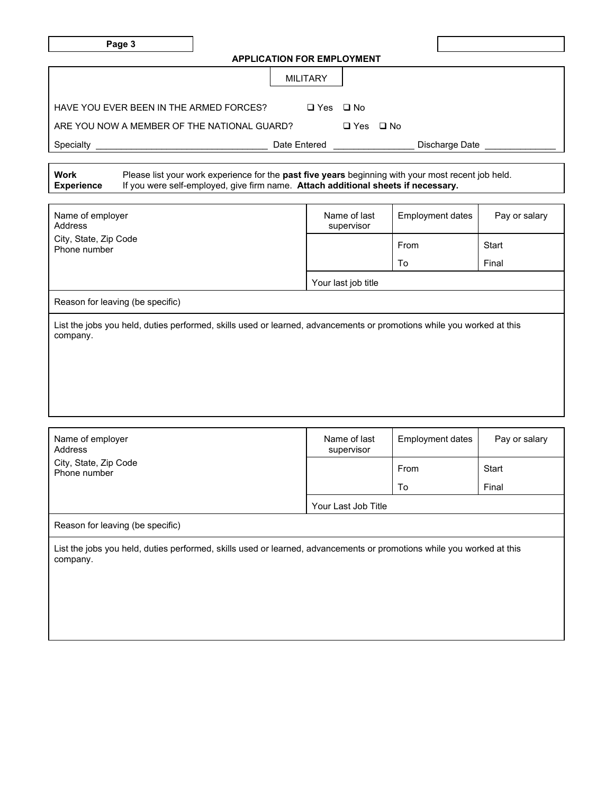| r |  |
|---|--|
|---|--|

| <b>APPLICATION FOR EMPLOYMENT</b> |  |  |
|-----------------------------------|--|--|
|-----------------------------------|--|--|

|                                             | <b>MILITARY</b>      |                      |  |                |  |
|---------------------------------------------|----------------------|----------------------|--|----------------|--|
| HAVE YOU EVER BEEN IN THE ARMED FORCES?     | $\Box$ Yes $\Box$ No |                      |  |                |  |
| ARE YOU NOW A MEMBER OF THE NATIONAL GUARD? |                      | $\Box$ Yes $\Box$ No |  |                |  |
| Specialty                                   | Date Entered         |                      |  | Discharge Date |  |

| Work              | Please list your work experience for the past five years beginning with your most recent job held. |
|-------------------|----------------------------------------------------------------------------------------------------|
| <b>Experience</b> | If you were self-employed, give firm name. Attach additional sheets if necessary.                  |

| Name of employer<br>Address                                                                                                       | Name of last<br>supervisor | Employment dates | Pay or salary |  |
|-----------------------------------------------------------------------------------------------------------------------------------|----------------------------|------------------|---------------|--|
| City, State, Zip Code<br>Phone number                                                                                             |                            | From             | Start         |  |
|                                                                                                                                   |                            | To               | Final         |  |
|                                                                                                                                   | Your last job title        |                  |               |  |
| Reason for leaving (be specific)                                                                                                  |                            |                  |               |  |
| List the jobs you held, duties performed, skills used or learned, advancements or promotions while you worked at this<br>company. |                            |                  |               |  |

| Name of employer<br>Address                                                                                                       | Name of last<br>supervisor | Employment dates | Pay or salary |
|-----------------------------------------------------------------------------------------------------------------------------------|----------------------------|------------------|---------------|
| City, State, Zip Code<br>Phone number                                                                                             |                            | From             | Start         |
|                                                                                                                                   |                            | To               | Final         |
|                                                                                                                                   | Your Last Job Title        |                  |               |
| Reason for leaving (be specific)                                                                                                  |                            |                  |               |
| List the jobs you held, duties performed, skills used or learned, advancements or promotions while you worked at this<br>company. |                            |                  |               |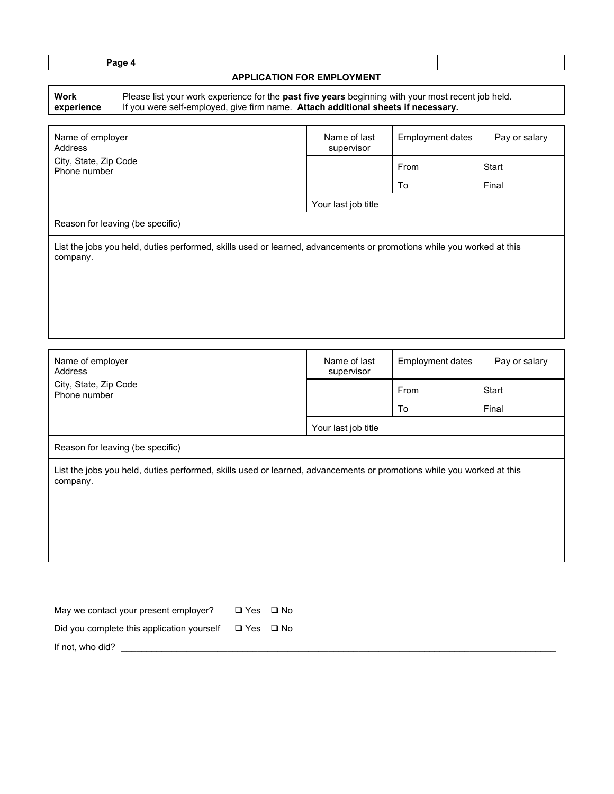| a sa<br>×<br>۰, |  |
|-----------------|--|
|-----------------|--|

### **APPLICATION FOR EMPLOYMENT**

| Work       | Please list your work experience for the <b>past f</b> |  |
|------------|--------------------------------------------------------|--|
| experience | If you were self-employed, give firm name. At          |  |

Please list your work experience for the **past five years** beginning with your most recent job held. If you were self-employed, give firm name. **Attach additional sheets if necessary.**

| Name of employer<br>Address                                                                                                       | Name of last<br>supervisor | Employment dates | Pay or salary |  |  |
|-----------------------------------------------------------------------------------------------------------------------------------|----------------------------|------------------|---------------|--|--|
| City, State, Zip Code<br>Phone number                                                                                             |                            | From             | Start         |  |  |
|                                                                                                                                   |                            | To               | Final         |  |  |
|                                                                                                                                   | Your last job title        |                  |               |  |  |
| Reason for leaving (be specific)                                                                                                  |                            |                  |               |  |  |
| List the jobs you held, duties performed, skills used or learned, advancements or promotions while you worked at this<br>company. |                            |                  |               |  |  |

| Name of employer<br>Address                                                                                                       | Name of last<br>supervisor | <b>Employment dates</b> | Pay or salary |  |  |
|-----------------------------------------------------------------------------------------------------------------------------------|----------------------------|-------------------------|---------------|--|--|
| City, State, Zip Code<br>Phone number                                                                                             |                            | From                    | Start         |  |  |
|                                                                                                                                   |                            | To                      | Final         |  |  |
|                                                                                                                                   | Your last job title        |                         |               |  |  |
| Reason for leaving (be specific)                                                                                                  |                            |                         |               |  |  |
| List the jobs you held, duties performed, skills used or learned, advancements or promotions while you worked at this<br>company. |                            |                         |               |  |  |

| May we contact your present employer?                           | $\Box$ Yes $\Box$ No |  |
|-----------------------------------------------------------------|----------------------|--|
| Did you complete this application yourself $\Box$ Yes $\Box$ No |                      |  |
| If not, who did?                                                |                      |  |

**Page 4**